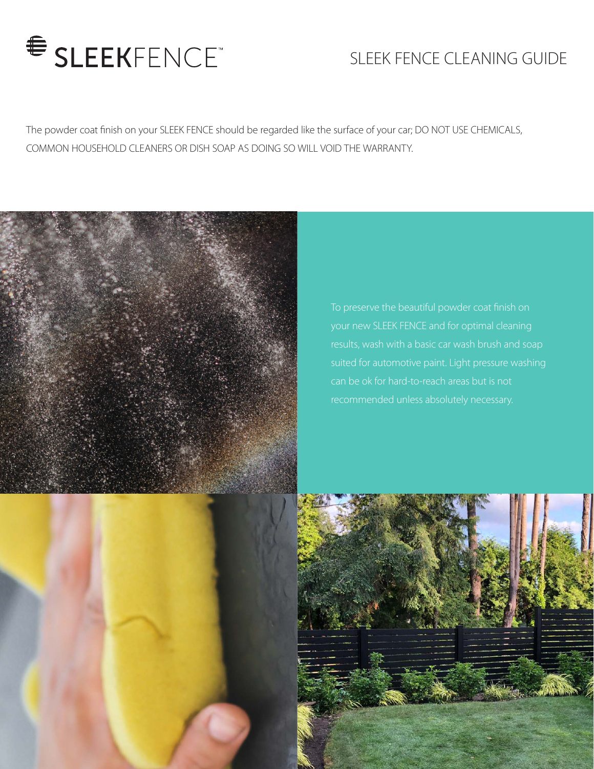

# SLEEK FENCE CLEANING GUIDE

The powder coat finish on your SLEEK FENCE should be regarded like the surface of your car; DO NOT USE CHEMICALS, COMMON HOUSEHOLD CLEANERS OR DISH SOAP AS DOING SO WILL VOID THE WARRANTY.



To preserve the beautiful powder coat finish on your new SLEEK FENCE and for optimal cleaning suited for automotive paint. Light pressure washing recommended unless absolutely necessary.